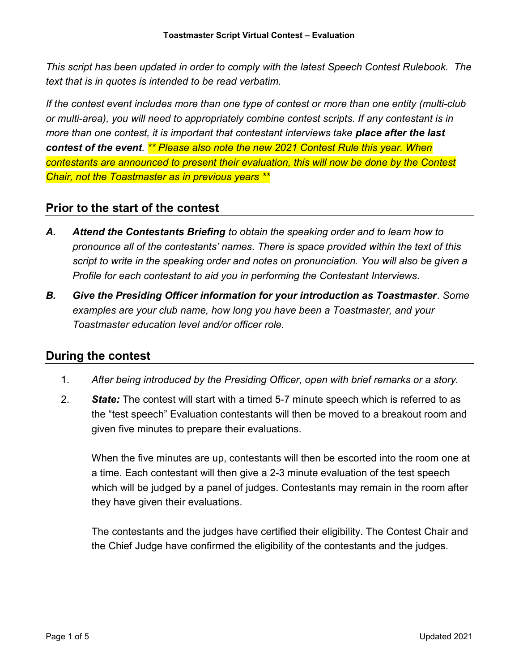This script has been updated in order to comply with the latest Speech Contest Rulebook. The text that is in quotes is intended to be read verbatim.

If the contest event includes more than one type of contest or more than one entity (multi-club or multi-area), you will need to appropriately combine contest scripts. If any contestant is in more than one contest, it is important that contestant interviews take **place after the last** contest of the event. \*\* Please also note the new 2021 Contest Rule this year. When contestants are announced to present their evaluation, this will now be done by the Contest Chair, not the Toastmaster as in previous years \*\*

## Prior to the start of the contest

- A. Attend the Contestants Briefing to obtain the speaking order and to learn how to pronounce all of the contestants' names. There is space provided within the text of this script to write in the speaking order and notes on pronunciation. You will also be given a Profile for each contestant to aid you in performing the Contestant Interviews.
- B. Give the Presiding Officer information for your introduction as Toastmaster. Some examples are your club name, how long you have been a Toastmaster, and your Toastmaster education level and/or officer role.

## During the contest

- 1. After being introduced by the Presiding Officer, open with brief remarks or a story.
- 2. State: The contest will start with a timed 5-7 minute speech which is referred to as the "test speech" Evaluation contestants will then be moved to a breakout room and given five minutes to prepare their evaluations.

When the five minutes are up, contestants will then be escorted into the room one at a time. Each contestant will then give a 2-3 minute evaluation of the test speech which will be judged by a panel of judges. Contestants may remain in the room after they have given their evaluations.

The contestants and the judges have certified their eligibility. The Contest Chair and the Chief Judge have confirmed the eligibility of the contestants and the judges.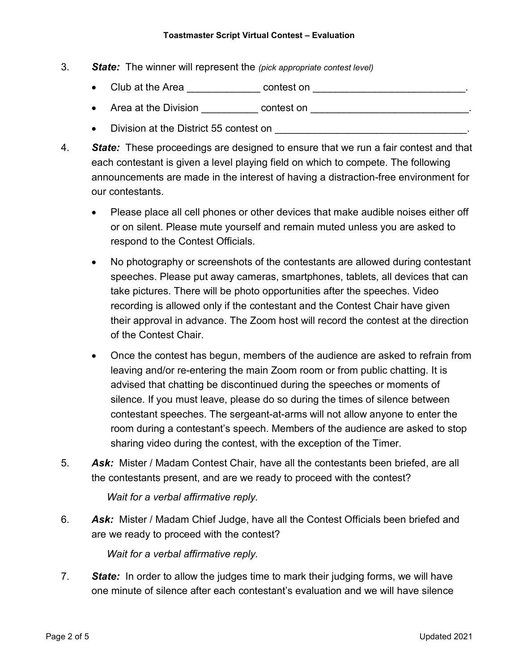## Toastmaster Script Virtual Contest – Evaluation

- 3. **State:** The winner will represent the (pick appropriate contest level)
	- Club at the Area **but contest on the Club** at the Area **contest on**  $\cdot$
	- Area at the Division contest on example and the Division of the contest on the state of the state of the state of the state of the state of the state of the state of the state of the state of the state of the state of th
	- Division at the District 55 contest on **EXACTE ON SECTION CONTENTS ON A LACTE ON SECTION**
- 4. State: These proceedings are designed to ensure that we run a fair contest and that each contestant is given a level playing field on which to compete. The following announcements are made in the interest of having a distraction-free environment for our contestants.
	- Please place all cell phones or other devices that make audible noises either off or on silent. Please mute yourself and remain muted unless you are asked to respond to the Contest Officials.
	- No photography or screenshots of the contestants are allowed during contestant speeches. Please put away cameras, smartphones, tablets, all devices that can take pictures. There will be photo opportunities after the speeches. Video recording is allowed only if the contestant and the Contest Chair have given their approval in advance. The Zoom host will record the contest at the direction of the Contest Chair.
	- Once the contest has begun, members of the audience are asked to refrain from leaving and/or re-entering the main Zoom room or from public chatting. It is advised that chatting be discontinued during the speeches or moments of silence. If you must leave, please do so during the times of silence between contestant speeches. The sergeant-at-arms will not allow anyone to enter the room during a contestant's speech. Members of the audience are asked to stop sharing video during the contest, with the exception of the Timer.
- 5. Ask: Mister / Madam Contest Chair, have all the contestants been briefed, are all the contestants present, and are we ready to proceed with the contest?

Wait for a verbal affirmative reply.

6. Ask: Mister / Madam Chief Judge, have all the Contest Officials been briefed and are we ready to proceed with the contest?

Wait for a verbal affirmative reply.

7. State: In order to allow the judges time to mark their judging forms, we will have one minute of silence after each contestant's evaluation and we will have silence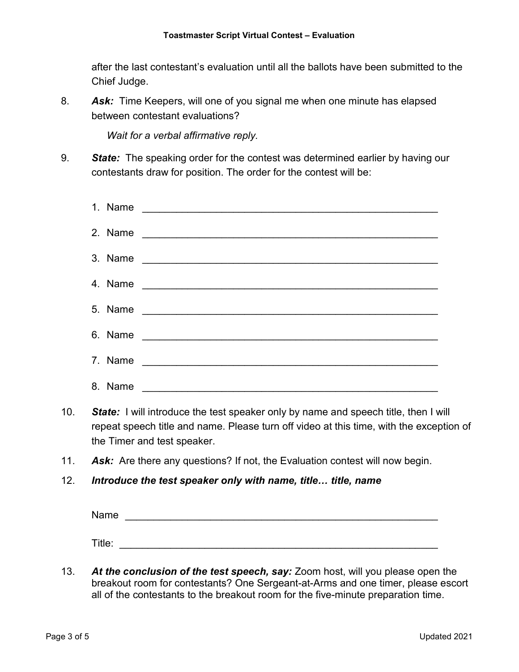after the last contestant's evaluation until all the ballots have been submitted to the Chief Judge.

8. Ask: Time Keepers, will one of you signal me when one minute has elapsed between contestant evaluations?

Wait for a verbal affirmative reply.

9. State: The speaking order for the contest was determined earlier by having our contestants draw for position. The order for the contest will be:

| 4. Name | <u> Terminal de la construcción de la construcción de la construcción de la construcción de la construcción de la </u>                                                                                                               |
|---------|--------------------------------------------------------------------------------------------------------------------------------------------------------------------------------------------------------------------------------------|
| 5. Name |                                                                                                                                                                                                                                      |
|         |                                                                                                                                                                                                                                      |
| 7. Name | <u> 1989 - Johann John Harry Harry Harry Harry Harry Harry Harry Harry Harry Harry Harry Harry Harry Harry Harry Harry Harry Harry Harry Harry Harry Harry Harry Harry Harry Harry Harry Harry Harry Harry Harry Harry Harry Har</u> |
| 8. Name |                                                                                                                                                                                                                                      |

- 10. State: I will introduce the test speaker only by name and speech title, then I will repeat speech title and name. Please turn off video at this time, with the exception of the Timer and test speaker.
- 11. Ask: Are there any questions? If not, the Evaluation contest will now begin.
- 12. Introduce the test speaker only with name, title... title, name

Name  $\blacksquare$  Title:

13. At the conclusion of the test speech, say: Zoom host, will you please open the breakout room for contestants? One Sergeant-at-Arms and one timer, please escort all of the contestants to the breakout room for the five-minute preparation time.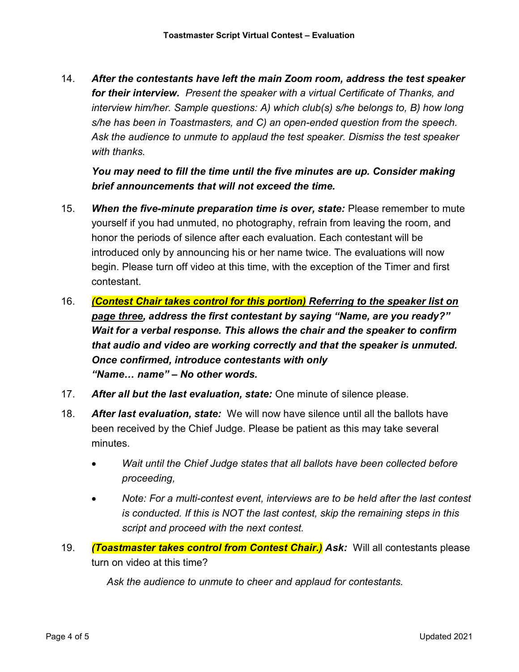14. After the contestants have left the main Zoom room, address the test speaker for their interview. Present the speaker with a virtual Certificate of Thanks, and interview him/her. Sample questions: A) which club(s) s/he belongs to, B) how long s/he has been in Toastmasters, and C) an open-ended question from the speech. Ask the audience to unmute to applaud the test speaker. Dismiss the test speaker with thanks.

You may need to fill the time until the five minutes are up. Consider making brief announcements that will not exceed the time.

- 15. When the five-minute preparation time is over, state: Please remember to mute yourself if you had unmuted, no photography, refrain from leaving the room, and honor the periods of silence after each evaluation. Each contestant will be introduced only by announcing his or her name twice. The evaluations will now begin. Please turn off video at this time, with the exception of the Timer and first contestant.
- 16. (Contest Chair takes control for this portion) Referring to the speaker list on page three, address the first contestant by saying "Name, are you ready?" Wait for a verbal response. This allows the chair and the speaker to confirm that audio and video are working correctly and that the speaker is unmuted. Once confirmed, introduce contestants with only "Name… name" – No other words.
- 17. After all but the last evaluation, state: One minute of silence please.
- 18. After last evaluation, state: We will now have silence until all the ballots have been received by the Chief Judge. Please be patient as this may take several minutes.
	- Wait until the Chief Judge states that all ballots have been collected before proceeding,
	- Note: For a multi-contest event, interviews are to be held after the last contest is conducted. If this is NOT the last contest, skip the remaining steps in this script and proceed with the next contest.
- 19. (Toastmaster takes control from Contest Chair.) Ask: Will all contestants please turn on video at this time?

Ask the audience to unmute to cheer and applaud for contestants.